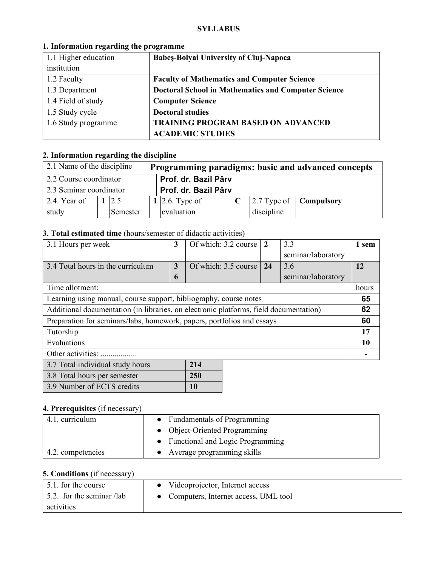#### **SYLLABUS**

| 1.1 Higher education | Babeș-Bolyai University of Cluj-Napoca                     |  |  |
|----------------------|------------------------------------------------------------|--|--|
| institution          |                                                            |  |  |
| 1.2 Faculty          | <b>Faculty of Mathematics and Computer Science</b>         |  |  |
| 1.3 Department       | <b>Doctoral School in Mathematics and Computer Science</b> |  |  |
| 1.4 Field of study   | <b>Computer Science</b>                                    |  |  |
| 1.5 Study cycle      | <b>Doctoral studies</b>                                    |  |  |
| 1.6 Study programme  | <b>TRAINING PROGRAM BASED ON ADVANCED</b>                  |  |  |
|                      | <b>ACADEMIC STUDIES</b>                                    |  |  |

### **1. Information regarding the programme**

# **2. Information regarding the discipline**

| 2.1 Name of the discipline<br>Programming paradigms: basic and advanced concepts |  |          |  |                      |  |            |                                               |
|----------------------------------------------------------------------------------|--|----------|--|----------------------|--|------------|-----------------------------------------------|
| Prof. dr. Bazil Pârv<br>2.2 Course coordinator                                   |  |          |  |                      |  |            |                                               |
| 2.3 Seminar coordinator                                                          |  |          |  | Prof. dr. Bazil Pârv |  |            |                                               |
| 2.4. Year of                                                                     |  | 2.5      |  | 1 2.6. Type of       |  |            | $\vert$ 2.7 Type of $\vert$ <b>Compulsory</b> |
| study                                                                            |  | Semester |  | evaluation           |  | discipline |                                               |

## **3. Total estimated time** (hours/semester of didactic activities)

| 3.1 Hours per week                                                                    | 3            | Of which: 3.2 course | $\overline{2}$ | 3.3                | 1 sem |
|---------------------------------------------------------------------------------------|--------------|----------------------|----------------|--------------------|-------|
|                                                                                       |              |                      |                | seminar/laboratory |       |
| 3.4 Total hours in the curriculum                                                     | 3            | Of which: 3.5 course | 24             | 3.6                | 12    |
|                                                                                       | $\mathbf{r}$ |                      |                | seminar/laboratory |       |
| Time allotment:                                                                       |              |                      |                |                    | hours |
| Learning using manual, course support, bibliography, course notes                     |              |                      |                |                    | 65    |
| Additional documentation (in libraries, on electronic platforms, field documentation) |              |                      |                |                    | 62    |
| Preparation for seminars/labs, homework, papers, portfolios and essays                |              |                      |                |                    | 60    |
| Tutorship                                                                             |              |                      |                |                    | 17    |
| Evaluations                                                                           |              |                      |                | 10                 |       |
| Other activities:                                                                     |              |                      |                |                    |       |
| 3.7 Total individual study hours                                                      |              | 214                  |                |                    |       |

| 3.8 Total hours per semester | <b>250</b> |
|------------------------------|------------|
| 3.9 Number of ECTS credits   | <b>10</b>  |

## **4. Prerequisites** (if necessary)

| 4.1. curriculum                                   | • Fundamentals of Programming      |
|---------------------------------------------------|------------------------------------|
|                                                   | • Object-Oriented Programming      |
|                                                   | • Functional and Logic Programming |
| 4.2. competencies<br>• Average programming skills |                                    |

## **5. Conditions** (if necessary)

| 5.1. for the course               | Videoprojector, Internet access      |
|-----------------------------------|--------------------------------------|
| $\vert$ 5.2. for the seminar /lab | Computers, Internet access, UML tool |
| activities                        |                                      |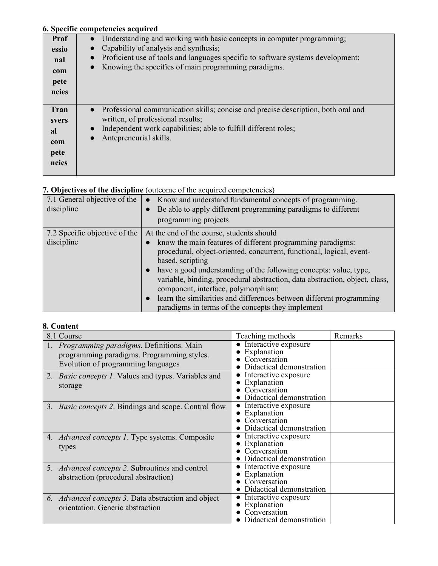### **6. Specific competencies acquired**

|       | о: оресніе соніреалісіся асцин са                                                              |
|-------|------------------------------------------------------------------------------------------------|
| Prof  | Understanding and working with basic concepts in computer programming;                         |
| essio | Capability of analysis and synthesis;                                                          |
| nal   | Proficient use of tools and languages specific to software systems development;<br>$\bullet$   |
| com   | Knowing the specifics of main programming paradigms.<br>$\bullet$                              |
| pete  |                                                                                                |
| ncies |                                                                                                |
|       |                                                                                                |
| Tran  | Professional communication skills; concise and precise description, both oral and<br>$\bullet$ |
| svers | written, of professional results;                                                              |
| al    | Independent work capabilities; able to fulfill different roles;<br>$\bullet$                   |
| com   | Antepreneurial skills.<br>$\bullet$                                                            |
| pete  |                                                                                                |
| ncies |                                                                                                |
|       |                                                                                                |
|       |                                                                                                |

## **7. Objectives of the discipline** (outcome of the acquired competencies)

| 7.1 General objective of the<br>discipline | Know and understand fundamental concepts of programming.<br>$\bullet$<br>Be able to apply different programming paradigms to different<br>programming projects |
|--------------------------------------------|----------------------------------------------------------------------------------------------------------------------------------------------------------------|
| 7.2 Specific objective of the              | At the end of the course, students should                                                                                                                      |
| discipline                                 | know the main features of different programming paradigms:                                                                                                     |
|                                            | procedural, object-oriented, concurrent, functional, logical, event-                                                                                           |
|                                            | based, scripting                                                                                                                                               |
|                                            | have a good understanding of the following concepts: value, type,                                                                                              |
|                                            | variable, binding, procedural abstraction, data abstraction, object, class,                                                                                    |
|                                            | component, interface, polymorphism;                                                                                                                            |
|                                            | learn the similarities and differences between different programming<br>$\bullet$                                                                              |
|                                            | paradigms in terms of the concepts they implement                                                                                                              |

## **8. Content**

| 8.1 Course                                                                                                                          | Teaching methods                                                                | Remarks |
|-------------------------------------------------------------------------------------------------------------------------------------|---------------------------------------------------------------------------------|---------|
| <i>Programming paradigms.</i> Definitions. Main<br>programming paradigms. Programming styles.<br>Evolution of programming languages | Interactive exposure<br>Explanation<br>Conversation<br>Didactical demonstration |         |
| 2. <i>Basic concepts 1</i> . Values and types. Variables and<br>storage                                                             | Interactive exposure<br>Explanation<br>Conversation<br>Didactical demonstration |         |
| <i>Basic concepts 2.</i> Bindings and scope. Control flow<br>3.                                                                     | Interactive exposure<br>Explanation<br>Conversation<br>Didactical demonstration |         |
| 4. <i>Advanced concepts 1</i> . Type systems. Composite<br>types                                                                    | Interactive exposure<br>Explanation<br>Conversation<br>Didactical demonstration |         |
| 5. <i>Advanced concepts 2</i> . Subroutines and control<br>abstraction (procedural abstraction)                                     | Interactive exposure<br>Explanation<br>Conversation<br>Didactical demonstration |         |
| 6. <i>Advanced concepts 3</i> . Data abstraction and object<br>orientation. Generic abstraction                                     | Interactive exposure<br>Explanation<br>Conversation<br>Didactical demonstration |         |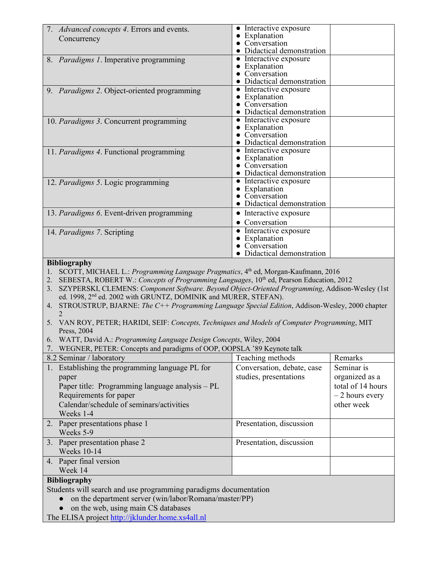| 7. Advanced concepts 4. Errors and events.                                                                                                                                                                                                                                                                                                                                                                                                                                                                                                                                                     | • Interactive exposure<br>• Explanation    |                   |
|------------------------------------------------------------------------------------------------------------------------------------------------------------------------------------------------------------------------------------------------------------------------------------------------------------------------------------------------------------------------------------------------------------------------------------------------------------------------------------------------------------------------------------------------------------------------------------------------|--------------------------------------------|-------------------|
| Concurrency                                                                                                                                                                                                                                                                                                                                                                                                                                                                                                                                                                                    | Conversation                               |                   |
|                                                                                                                                                                                                                                                                                                                                                                                                                                                                                                                                                                                                | · Didactical demonstration                 |                   |
| 8. Paradigms 1. Imperative programming                                                                                                                                                                                                                                                                                                                                                                                                                                                                                                                                                         | • Interactive exposure                     |                   |
|                                                                                                                                                                                                                                                                                                                                                                                                                                                                                                                                                                                                | • Explanation<br>• Conversation            |                   |
|                                                                                                                                                                                                                                                                                                                                                                                                                                                                                                                                                                                                | • Didactical demonstration                 |                   |
| 9. Paradigms 2. Object-oriented programming                                                                                                                                                                                                                                                                                                                                                                                                                                                                                                                                                    | • Interactive exposure                     |                   |
|                                                                                                                                                                                                                                                                                                                                                                                                                                                                                                                                                                                                | Explanation                                |                   |
|                                                                                                                                                                                                                                                                                                                                                                                                                                                                                                                                                                                                | Conversation<br>• Didactical demonstration |                   |
| 10. Paradigms 3. Concurrent programming                                                                                                                                                                                                                                                                                                                                                                                                                                                                                                                                                        | • Interactive exposure                     |                   |
|                                                                                                                                                                                                                                                                                                                                                                                                                                                                                                                                                                                                | • Explanation                              |                   |
|                                                                                                                                                                                                                                                                                                                                                                                                                                                                                                                                                                                                | Conversation                               |                   |
|                                                                                                                                                                                                                                                                                                                                                                                                                                                                                                                                                                                                | • Didactical demonstration                 |                   |
| 11. Paradigms 4. Functional programming                                                                                                                                                                                                                                                                                                                                                                                                                                                                                                                                                        | • Interactive exposure<br>• Explanation    |                   |
|                                                                                                                                                                                                                                                                                                                                                                                                                                                                                                                                                                                                | Conversation                               |                   |
|                                                                                                                                                                                                                                                                                                                                                                                                                                                                                                                                                                                                | Didactical demonstration                   |                   |
| 12. Paradigms 5. Logic programming                                                                                                                                                                                                                                                                                                                                                                                                                                                                                                                                                             | • Interactive exposure                     |                   |
|                                                                                                                                                                                                                                                                                                                                                                                                                                                                                                                                                                                                | • Explanation<br>• Conversation            |                   |
|                                                                                                                                                                                                                                                                                                                                                                                                                                                                                                                                                                                                | Didactical demonstration                   |                   |
| 13. Paradigms 6. Event-driven programming                                                                                                                                                                                                                                                                                                                                                                                                                                                                                                                                                      | • Interactive exposure                     |                   |
|                                                                                                                                                                                                                                                                                                                                                                                                                                                                                                                                                                                                | • Conversation                             |                   |
| 14. Paradigms 7. Scripting                                                                                                                                                                                                                                                                                                                                                                                                                                                                                                                                                                     | • Interactive exposure                     |                   |
|                                                                                                                                                                                                                                                                                                                                                                                                                                                                                                                                                                                                | • Explanation                              |                   |
|                                                                                                                                                                                                                                                                                                                                                                                                                                                                                                                                                                                                | Conversation                               |                   |
|                                                                                                                                                                                                                                                                                                                                                                                                                                                                                                                                                                                                | Didactical demonstration                   |                   |
| <b>Bibliography</b><br>SCOTT, MICHAEL L.: Programming Language Pragmatics, 4 <sup>th</sup> ed, Morgan-Kaufmann, 2016<br>1.                                                                                                                                                                                                                                                                                                                                                                                                                                                                     |                                            |                   |
| 2. SEBESTA, ROBERT W.: Concepts of Programming Languages, 10th ed, Pearson Education, 2012<br>3. SZYPERSKI, CLEMENS: Component Software. Beyond Object-Oriented Programming, Addison-Wesley (1st<br>ed. 1998, 2 <sup>nd</sup> ed. 2002 with GRUNTZ, DOMINIK and MURER, STEFAN).<br>4. STROUSTRUP, BJARNE: The C++ Programming Language Special Edition, Addison-Wesley, 2000 chapter<br>$\mathfrak{D}$<br>5. VAN ROY, PETER; HARIDI, SEIF: Concepts, Techniques and Models of Computer Programming, MIT<br>Press, 2004<br>6. WATT, David A.: Programming Language Design Concepts, Wiley, 2004 |                                            |                   |
| 7. WEGNER, PETER: Concepts and paradigms of OOP, OOPSLA '89 Keynote talk                                                                                                                                                                                                                                                                                                                                                                                                                                                                                                                       |                                            |                   |
| 8.2 Seminar / laboratory                                                                                                                                                                                                                                                                                                                                                                                                                                                                                                                                                                       | Teaching methods                           | Remarks           |
| 1. Establishing the programming language PL for                                                                                                                                                                                                                                                                                                                                                                                                                                                                                                                                                | Conversation, debate, case                 | Seminar is        |
| paper                                                                                                                                                                                                                                                                                                                                                                                                                                                                                                                                                                                          | studies, presentations                     | organized as a    |
| Paper title: Programming language analysis - PL                                                                                                                                                                                                                                                                                                                                                                                                                                                                                                                                                |                                            | total of 14 hours |
| Requirements for paper                                                                                                                                                                                                                                                                                                                                                                                                                                                                                                                                                                         |                                            | $-2$ hours every  |
| Calendar/schedule of seminars/activities                                                                                                                                                                                                                                                                                                                                                                                                                                                                                                                                                       |                                            | other week        |
| Weeks 1-4                                                                                                                                                                                                                                                                                                                                                                                                                                                                                                                                                                                      |                                            |                   |
| 2. Paper presentations phase 1<br>Weeks 5-9                                                                                                                                                                                                                                                                                                                                                                                                                                                                                                                                                    | Presentation, discussion                   |                   |
|                                                                                                                                                                                                                                                                                                                                                                                                                                                                                                                                                                                                |                                            |                   |
| 3. Paper presentation phase 2<br><b>Weeks 10-14</b>                                                                                                                                                                                                                                                                                                                                                                                                                                                                                                                                            | Presentation, discussion                   |                   |
| Paper final version<br>4.<br>Week 14                                                                                                                                                                                                                                                                                                                                                                                                                                                                                                                                                           |                                            |                   |
|                                                                                                                                                                                                                                                                                                                                                                                                                                                                                                                                                                                                |                                            |                   |
| <b>Bibliography</b>                                                                                                                                                                                                                                                                                                                                                                                                                                                                                                                                                                            |                                            |                   |
| Students will search and use programming paradigms documentation                                                                                                                                                                                                                                                                                                                                                                                                                                                                                                                               |                                            |                   |
| on the department server (win/labor/Romana/master/PP)                                                                                                                                                                                                                                                                                                                                                                                                                                                                                                                                          |                                            |                   |
| on the web, using main CS databases<br>The ELISA project http://jklunder.home.xs4all.nl                                                                                                                                                                                                                                                                                                                                                                                                                                                                                                        |                                            |                   |